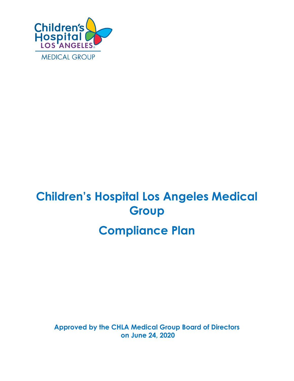

# **Children's Hospital Los Angeles Medical Group Compliance Plan**

**Approved by the CHLA Medical Group Board of Directors on June 24, 2020**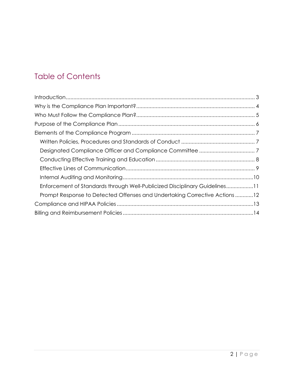## Table of Contents

| Enforcement of Standards through Well-Publicized Disciplinary Guidelines11 |  |
|----------------------------------------------------------------------------|--|
| Prompt Response to Detected Offenses and Undertaking Corrective Actions12  |  |
|                                                                            |  |
|                                                                            |  |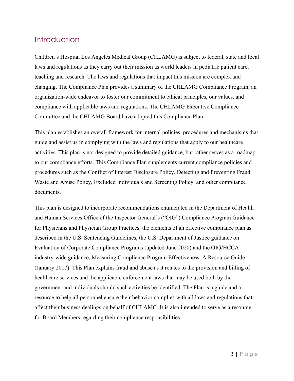### <span id="page-2-0"></span>**Introduction**

Children's Hospital Los Angeles Medical Group (CHLAMG) is subject to federal, state and local laws and regulations as they carry out their mission as world leaders in pediatric patient care, teaching and research. The laws and regulations that impact this mission are complex and changing. The Compliance Plan provides a summary of the CHLAMG Compliance Program, an organization-wide endeavor to foster our commitment to ethical principles, our values, and compliance with applicable laws and regulations. The CHLAMG Executive Compliance Committee and the CHLAMG Board have adopted this Compliance Plan.

This plan establishes an overall framework for internal policies, procedures and mechanisms that guide and assist us in complying with the laws and regulations that apply to our healthcare activities. This plan is not designed to provide detailed guidance, but rather serves as a roadmap to our compliance efforts. This Compliance Plan supplements current compliance policies and procedures such as the Conflict of Interest Disclosure Policy, Detecting and Preventing Fraud, Waste and Abuse Policy, Excluded Individuals and Screening Policy, and other compliance documents.

This plan is designed to incorporate recommendations enumerated in the Department of Health and Human Services Office of the Inspector General's ("OIG") Compliance Program Guidance for Physicians and Physician Group Practices, the elements of an effective compliance plan as described in the U.S. Sentencing Guidelines, the U.S. Department of Justice guidance on Evaluation of Corporate Compliance Programs (updated June 2020) and the OIG/HCCA industry-wide guidance, Measuring Compliance Program Effectiveness: A Resource Guide (January 2017). This Plan explains fraud and abuse as it relates to the provision and billing of healthcare services and the applicable enforcement laws that may be used both by the government and individuals should such activities be identified. The Plan is a guide and a resource to help all personnel ensure their behavior complies with all laws and regulations that affect their business dealings on behalf of CHLAMG. It is also intended to serve as a resource for Board Members regarding their compliance responsibilities.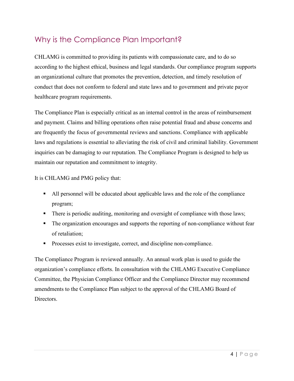## <span id="page-3-0"></span>Why is the Compliance Plan Important?

CHLAMG is committed to providing its patients with compassionate care, and to do so according to the highest ethical, business and legal standards. Our compliance program supports an organizational culture that promotes the prevention, detection, and timely resolution of conduct that does not conform to federal and state laws and to government and private payor healthcare program requirements.

The Compliance Plan is especially critical as an internal control in the areas of reimbursement and payment. Claims and billing operations often raise potential fraud and abuse concerns and are frequently the focus of governmental reviews and sanctions. Compliance with applicable laws and regulations is essential to alleviating the risk of civil and criminal liability. Government inquiries can be damaging to our reputation. The Compliance Program is designed to help us maintain our reputation and commitment to integrity.

It is CHLAMG and PMG policy that:

- All personnel will be educated about applicable laws and the role of the compliance program;
- There is periodic auditing, monitoring and oversight of compliance with those laws;
- The organization encourages and supports the reporting of non-compliance without fear of retaliation;
- **Processes exist to investigate, correct, and discipline non-compliance.**

The Compliance Program is reviewed annually. An annual work plan is used to guide the organization's compliance efforts. In consultation with the CHLAMG Executive Compliance Committee, the Physician Compliance Officer and the Compliance Director may recommend amendments to the Compliance Plan subject to the approval of the CHLAMG Board of Directors.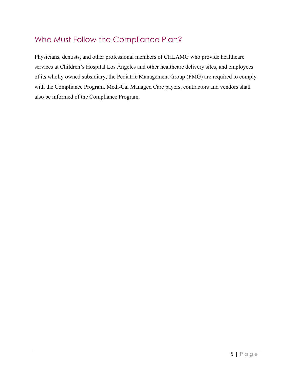## <span id="page-4-0"></span>Who Must Follow the Compliance Plan?

Physicians, dentists, and other professional members of CHLAMG who provide healthcare services at Children's Hospital Los Angeles and other healthcare delivery sites, and employees of its wholly owned subsidiary, the Pediatric Management Group (PMG) are required to comply with the Compliance Program. Medi-Cal Managed Care payers, contractors and vendors shall also be informed of the Compliance Program.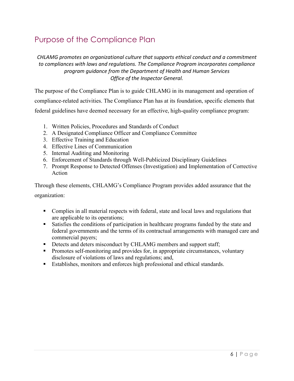## <span id="page-5-0"></span>Purpose of the Compliance Plan

*CHLAMG promotes an organizational culture that supports ethical conduct and a commitment to compliances with laws and regulations. The Compliance Program incorporates compliance program guidance from the Department of Health and Human Services Office of the Inspector General.*

The purpose of the Compliance Plan is to guide CHLAMG in its management and operation of compliance-related activities. The Compliance Plan has at its foundation, specific elements that federal guidelines have deemed necessary for an effective, high-quality compliance program:

- 1. Written Policies, Procedures and Standards of Conduct
- 2. A Designated Compliance Officer and Compliance Committee
- 3. Effective Training and Education
- 4. Effective Lines of Communication
- 5. Internal Auditing and Monitoring
- 6. Enforcement of Standards through Well-Publicized Disciplinary Guidelines
- 7. Prompt Response to Detected Offenses (Investigation) and Implementation of Corrective Action

Through these elements, CHLAMG's Compliance Program provides added assurance that the

organization:

- Complies in all material respects with federal, state and local laws and regulations that are applicable to its operations;
- Satisfies the conditions of participation in healthcare programs funded by the state and federal governments and the terms of its contractual arrangements with managed care and commercial payers;
- Detects and deters misconduct by CHLAMG members and support staff;
- Promotes self-monitoring and provides for, in appropriate circumstances, voluntary disclosure of violations of laws and regulations; and,
- Establishes, monitors and enforces high professional and ethical standards.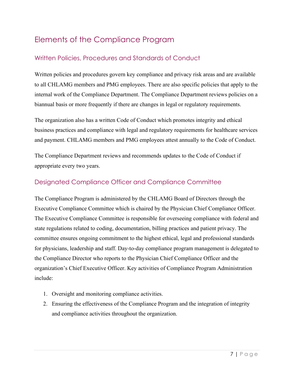## <span id="page-6-0"></span>Elements of the Compliance Program

#### <span id="page-6-1"></span>Written Policies, Procedures and Standards of Conduct

Written policies and procedures govern key compliance and privacy risk areas and are available to all CHLAMG members and PMG employees. There are also specific policies that apply to the internal work of the Compliance Department. The Compliance Department reviews policies on a biannual basis or more frequently if there are changes in legal or regulatory requirements.

The organization also has a written Code of Conduct which promotes integrity and ethical business practices and compliance with legal and regulatory requirements for healthcare services and payment. CHLAMG members and PMG employees attest annually to the Code of Conduct.

The Compliance Department reviews and recommends updates to the Code of Conduct if appropriate every two years.

#### <span id="page-6-2"></span>Designated Compliance Officer and Compliance Committee

The Compliance Program is administered by the CHLAMG Board of Directors through the Executive Compliance Committee which is chaired by the Physician Chief Compliance Officer. The Executive Compliance Committee is responsible for overseeing compliance with federal and state regulations related to coding, documentation, billing practices and patient privacy. The committee ensures ongoing commitment to the highest ethical, legal and professional standards for physicians, leadership and staff. Day-to-day compliance program management is delegated to the Compliance Director who reports to the Physician Chief Compliance Officer and the organization's Chief Executive Officer. Key activities of Compliance Program Administration include:

- 1. Oversight and monitoring compliance activities.
- 2. Ensuring the effectiveness of the Compliance Program and the integration of integrity and compliance activities throughout the organization.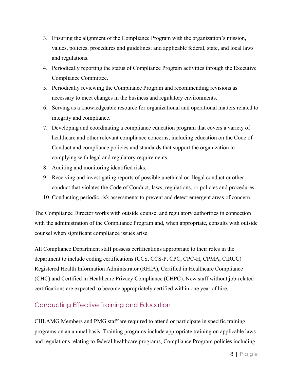- 3. Ensuring the alignment of the Compliance Program with the organization's mission, values, policies, procedures and guidelines; and applicable federal, state, and local laws and regulations.
- 4. Periodically reporting the status of Compliance Program activities through the Executive Compliance Committee.
- 5. Periodically reviewing the Compliance Program and recommending revisions as necessary to meet changes in the business and regulatory environments.
- 6. Serving as a knowledgeable resource for organizational and operational matters related to integrity and compliance.
- 7. Developing and coordinating a compliance education program that covers a variety of healthcare and other relevant compliance concerns, including education on the Code of Conduct and compliance policies and standards that support the organization in complying with legal and regulatory requirements.
- 8. Auditing and monitoring identified risks.
- 9. Receiving and investigating reports of possible unethical or illegal conduct or other conduct that violates the Code of Conduct, laws, regulations, or policies and procedures.
- 10. Conducting periodic risk assessments to prevent and detect emergent areas of concern.

The Compliance Director works with outside counsel and regulatory authorities in connection with the administration of the Compliance Program and, when appropriate, consults with outside counsel when significant compliance issues arise.

All Compliance Department staff possess certifications appropriate to their roles in the department to include coding certifications (CCS, CCS-P, CPC, CPC-H, CPMA, CIRCC) Registered Health Information Administrator (RHIA), Certified in Healthcare Compliance (CHC) and Certified in Healthcare Privacy Compliance (CHPC). New staff without job-related certifications are expected to become appropriately certified within one year of hire.

#### <span id="page-7-0"></span>Conducting Effective Training and Education

CHLAMG Members and PMG staff are required to attend or participate in specific training programs on an annual basis. Training programs include appropriate training on applicable laws and regulations relating to federal healthcare programs, Compliance Program policies including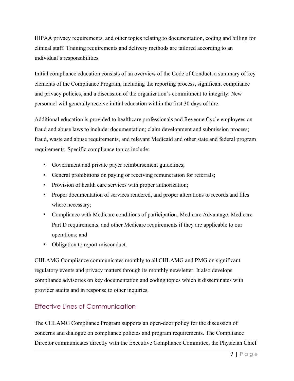HIPAA privacy requirements, and other topics relating to documentation, coding and billing for clinical staff. Training requirements and delivery methods are tailored according to an individual's responsibilities.

Initial compliance education consists of an overview of the Code of Conduct, a summary of key elements of the Compliance Program, including the reporting process, significant compliance and privacy policies, and a discussion of the organization's commitment to integrity. New personnel will generally receive initial education within the first 30 days of hire.

Additional education is provided to healthcare professionals and Revenue Cycle employees on fraud and abuse laws to include: documentation; claim development and submission process; fraud, waste and abuse requirements, and relevant Medicaid and other state and federal program requirements. Specific compliance topics include:

- Government and private payer reimbursement guidelines;
- General prohibitions on paying or receiving remuneration for referrals;
- **Provision of health care services with proper authorization;**
- **Proper documentation of services rendered, and proper alterations to records and files** where necessary;
- Compliance with Medicare conditions of participation, Medicare Advantage, Medicare Part D requirements, and other Medicare requirements if they are applicable to our operations; and
- Obligation to report misconduct.

CHLAMG Compliance communicates monthly to all CHLAMG and PMG on significant regulatory events and privacy matters through its monthly newsletter. It also develops compliance advisories on key documentation and coding topics which it disseminates with provider audits and in response to other inquiries.

#### <span id="page-8-0"></span>Effective Lines of Communication

The CHLAMG Compliance Program supports an open-door policy for the discussion of concerns and dialogue on compliance policies and program requirements. The Compliance Director communicates directly with the Executive Compliance Committee, the Physician Chief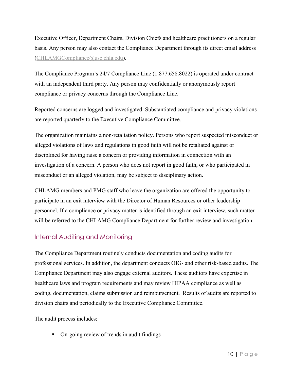Executive Officer, Department Chairs, Division Chiefs and healthcare practitioners on a regular basis. Any person may also contact the Compliance Department through its direct email address [\(CHLAMGCompliance@usc.chla.edu\)](mailto:CHLAMGCompliance@usc.chla.edu).

The Compliance Program's 24/7 Compliance Line (1.877.658.8022) is operated under contract with an independent third party. Any person may confidentially or anonymously report compliance or privacy concerns through the Compliance Line.

Reported concerns are logged and investigated. Substantiated compliance and privacy violations are reported quarterly to the Executive Compliance Committee.

The organization maintains a non-retaliation policy. Persons who report suspected misconduct or alleged violations of laws and regulations in good faith will not be retaliated against or disciplined for having raise a concern or providing information in connection with an investigation of a concern. A person who does not report in good faith, or who participated in misconduct or an alleged violation, may be subject to disciplinary action.

CHLAMG members and PMG staff who leave the organization are offered the opportunity to participate in an exit interview with the Director of Human Resources or other leadership personnel. If a compliance or privacy matter is identified through an exit interview, such matter will be referred to the CHLAMG Compliance Department for further review and investigation.

#### <span id="page-9-0"></span>Internal Auditing and Monitoring

The Compliance Department routinely conducts documentation and coding audits for professional services. In addition, the department conducts OIG- and other risk-based audits. The Compliance Department may also engage external auditors. These auditors have expertise in healthcare laws and program requirements and may review HIPAA compliance as well as coding, documentation, claims submission and reimbursement. Results of audits are reported to division chairs and periodically to the Executive Compliance Committee.

The audit process includes:

• On-going review of trends in audit findings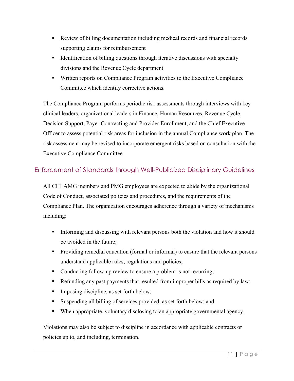- Review of billing documentation including medical records and financial records supporting claims for reimbursement
- Identification of billing questions through iterative discussions with specialty divisions and the Revenue Cycle department
- Written reports on Compliance Program activities to the Executive Compliance Committee which identify corrective actions.

The Compliance Program performs periodic risk assessments through interviews with key clinical leaders, organizational leaders in Finance, Human Resources, Revenue Cycle, Decision Support, Payer Contracting and Provider Enrollment, and the Chief Executive Officer to assess potential risk areas for inclusion in the annual Compliance work plan. The risk assessment may be revised to incorporate emergent risks based on consultation with the Executive Compliance Committee.

#### <span id="page-10-0"></span>Enforcement of Standards through Well-Publicized Disciplinary Guidelines

All CHLAMG members and PMG employees are expected to abide by the organizational Code of Conduct, associated policies and procedures, and the requirements of the Compliance Plan. The organization encourages adherence through a variety of mechanisms including:

- Informing and discussing with relevant persons both the violation and how it should be avoided in the future;
- Providing remedial education (formal or informal) to ensure that the relevant persons understand applicable rules, regulations and policies;
- Conducting follow-up review to ensure a problem is not recurring;
- Refunding any past payments that resulted from improper bills as required by law;
- Imposing discipline, as set forth below;
- Suspending all billing of services provided, as set forth below; and
- When appropriate, voluntary disclosing to an appropriate governmental agency.

Violations may also be subject to discipline in accordance with applicable contracts or policies up to, and including, termination.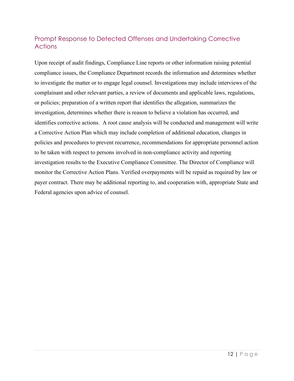#### <span id="page-11-0"></span>Prompt Response to Detected Offenses and Undertaking Corrective **Actions**

Upon receipt of audit findings, Compliance Line reports or other information raising potential compliance issues, the Compliance Department records the information and determines whether to investigate the matter or to engage legal counsel. Investigations may include interviews of the complainant and other relevant parties, a review of documents and applicable laws, regulations, or policies; preparation of a written report that identifies the allegation, summarizes the investigation, determines whether there is reason to believe a violation has occurred, and identifies corrective actions. A root cause analysis will be conducted and management will write a Corrective Action Plan which may include completion of additional education, changes in policies and procedures to prevent recurrence, recommendations for appropriate personnel action to be taken with respect to persons involved in non-compliance activity and reporting investigation results to the Executive Compliance Committee. The Director of Compliance will monitor the Corrective Action Plans. Verified overpayments will be repaid as required by law or payer contract. There may be additional reporting to, and cooperation with, appropriate State and Federal agencies upon advice of counsel.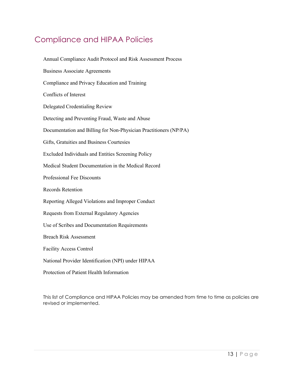## <span id="page-12-0"></span>Compliance and HIPAA Policies

Annual Compliance Audit Protocol and Risk Assessment Process Business Associate Agreements Compliance and Privacy Education and Training Conflicts of Interest Delegated Credentialing Review Detecting and Preventing Fraud, Waste and Abuse Documentation and Billing for Non-Physician Practitioners (NP/PA) Gifts, Gratuities and Business Courtesies Excluded Individuals and Entities Screening Policy Medical Student Documentation in the Medical Record Professional Fee Discounts Records Retention Reporting Alleged Violations and Improper Conduct Requests from External Regulatory Agencies Use of Scribes and Documentation Requirements Breach Risk Assessment Facility Access Control National Provider Identification (NPI) under HIPAA Protection of Patient Health Information

This list of Compliance and HIPAA Policies may be amended from time to time as policies are revised or implemented.